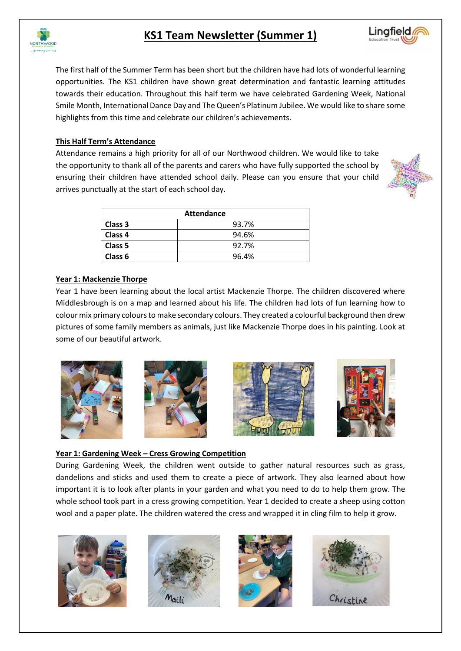

# **KS1 Team Newsletter (Summer 1)**

Lingfield

The first half of the Summer Term has been short but the children have had lots of wonderful learning opportunities. The KS1 children have shown great determination and fantastic learning attitudes towards their education. Throughout this half term we have celebrated Gardening Week, National Smile Month, International Dance Day and The Queen's Platinum Jubilee. We would like to share some highlights from this time and celebrate our children's achievements.

## **This Half Term's Attendance**

Attendance remains a high priority for all of our Northwood children. We would like to take the opportunity to thank all of the parents and carers who have fully supported the school by ensuring their children have attended school daily. Please can you ensure that your child arrives punctually at the start of each school day.



| <b>Attendance</b>  |       |  |  |  |
|--------------------|-------|--|--|--|
| Class 3            | 93.7% |  |  |  |
| Class <sub>4</sub> | 94.6% |  |  |  |
| Class 5            | 92.7% |  |  |  |
| Class <sub>6</sub> | 96.4% |  |  |  |

## **Year 1: Mackenzie Thorpe**

Year 1 have been learning about the local artist Mackenzie Thorpe. The children discovered where Middlesbrough is on a map and learned about his life. The children had lots of fun learning how to colour mix primary colours to make secondary colours. They created a colourful background then drew pictures of some family members as animals, just like Mackenzie Thorpe does in his painting. Look at some of our beautiful artwork.



#### **Year 1: Gardening Week – Cress Growing Competition**

During Gardening Week, the children went outside to gather natural resources such as grass, dandelions and sticks and used them to create a piece of artwork. They also learned about how important it is to look after plants in your garden and what you need to do to help them grow. The whole school took part in a cress growing competition. Year 1 decided to create a sheep using cotton wool and a paper plate. The children watered the cress and wrapped it in cling film to help it grow.